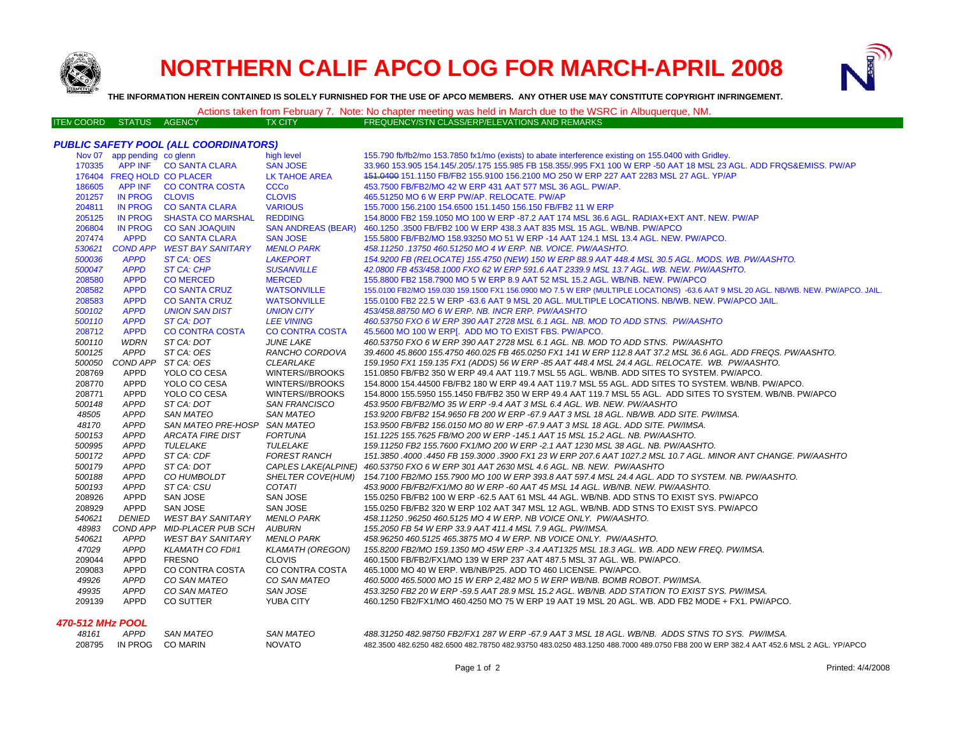

# **NORTHERN CALIF APCO LOG FOR MARCH-APRIL 2008**



**THE INFORMATION HEREIN CONTAINED IS SOLELY FURNISHED FOR THE USE OF APCO MEMBERS. ANY OTHER USE MAY CONSTITUTE COPYRIGHT INFRINGEMENT.**

### Actions taken from February 7. Note: No chapter meeting was held in March due to the WSRC in Albuquerque, NM.

| ITEM COORD STATUS AGENCY. |  | TX CITY' | FREQUENCY/STN CLASS/ERP/ELEVATIONS AND REMARKS |
|---------------------------|--|----------|------------------------------------------------|
|                           |  |          |                                                |

#### *PUBLIC SAFETY POOL (ALL COORDINATORS)*

|                  | Nov 07 app pending co glenn |                              | high level                 | 155.790 fb/fb2/mo 153.7850 fx1/mo (exists) to abate interference existing on 155.0400 with Gridley.                                 |
|------------------|-----------------------------|------------------------------|----------------------------|-------------------------------------------------------------------------------------------------------------------------------------|
| 170335           |                             | APP INF CO SANTA CLARA       | <b>SAN JOSE</b>            | 33.960 153.905 154.145/.205/.175 155.985 FB 158.355/.995 FX1 100 W ERP -50 AAT 18 MSL 23 AGL. ADD FRQS&EMISS. PW/AP                 |
|                  | 176404 FREQ HOLD CO PLACER  |                              | <b>LK TAHOE AREA</b>       | 151.0400 151.1150 FB/FB2 155.9100 156.2100 MO 250 W ERP 227 AAT 2283 MSL 27 AGL. YP/AP                                              |
| 186605           | APP INF                     | <b>CO CONTRA COSTA</b>       | <b>CCCo</b>                | 453.7500 FB/FB2/MO 42 W ERP 431 AAT 577 MSL 36 AGL. PW/AP.                                                                          |
| 201257           | <b>IN PROG</b>              | <b>CLOVIS</b>                | <b>CLOVIS</b>              | 465.51250 MO 6 W ERP PW/AP, RELOCATE, PW/AP                                                                                         |
| 204811           | <b>IN PROG</b>              | <b>CO SANTA CLARA</b>        | <b>VARIOUS</b>             | 155.7000 156.2100 154.6500 151.1450 156.150 FB/FB2 11 W ERP                                                                         |
| 205125           | <b>IN PROG</b>              | <b>SHASTA CO MARSHAL</b>     | <b>REDDING</b>             | 154,8000 FB2 159,1050 MO 100 W ERP -87,2 AAT 174 MSL 36.6 AGL, RADIAX+EXT ANT, NEW, PW/AP                                           |
| 206804           | <b>IN PROG</b>              | <b>CO SAN JOAQUIN</b>        | <b>SAN ANDREAS (BEAR)</b>  | 460.1250 .3500 FB/FB2 100 W ERP 438.3 AAT 835 MSL 15 AGL. WB/NB. PW/APCO                                                            |
| 207474           | <b>APPD</b>                 | <b>CO SANTA CLARA</b>        | <b>SAN JOSE</b>            | 155.5800 FB/FB2/MO 158.93250 MO 51 W ERP -14 AAT 124.1 MSL 13.4 AGL. NEW. PW/APCO.                                                  |
| 530621           | <b>COND APP</b>             | <b>WEST BAY SANITARY</b>     | <b>MENLO PARK</b>          | 458.11250.13750 460.51250 MO 4 W ERP. NB. VOICE. PW/AASHTO.                                                                         |
| 500036           | <b>APPD</b>                 | ST CA: OES                   | <b>LAKEPORT</b>            | 154.9200 FB (RELOCATE) 155.4750 (NEW) 150 W ERP 88.9 AAT 448.4 MSL 30.5 AGL. MODS. WB. PW/AASHTO.                                   |
| 500047           | <b>APPD</b>                 | ST CA: CHP                   | <b>SUSANVILLE</b>          | 42.0800 FB 453/458.1000 FXO 62 W ERP 591.6 AAT 2339.9 MSL 13.7 AGL, WB, NEW, PW/AASHTO,                                             |
| 208580           | <b>APPD</b>                 | <b>CO MERCED</b>             | <b>MERCED</b>              | 155.8800 FB2 158.7900 MO 5 W ERP 8.9 AAT 52 MSL 15.2 AGL. WB/NB. NEW. PW/APCO                                                       |
| 208582           | <b>APPD</b>                 | <b>CO SANTA CRUZ</b>         | <b>WATSONVILLE</b>         | 155.0100 FB2/MO 159.030 159.1500 FX1 156.0900 MO 7.5 W ERP (MULTIPLE LOCATIONS) -63.6 AAT 9 MSL 20 AGL. NB/WB. NEW. PW/APCO. JAIL.  |
| 208583           | <b>APPD</b>                 | <b>CO SANTA CRUZ</b>         | <b>WATSONVILLE</b>         | 155.0100 FB2 22.5 W ERP -63.6 AAT 9 MSL 20 AGL. MULTIPLE LOCATIONS, NB/WB, NEW, PW/APCO JAIL.                                       |
| 500102           | <b>APPD</b>                 | <b>UNION SAN DIST</b>        | <b>UNION CITY</b>          | 453/458.88750 MO 6 W ERP. NB. INCR ERP. PW/AASHTO                                                                                   |
| 500110           | <b>APPD</b>                 | ST CA: DOT                   | <b>LEE VINING</b>          | 460.53750 FXO 6 W ERP 390 AAT 2728 MSL 6.1 AGL. NB. MOD TO ADD STNS. PW/AASHTO                                                      |
| 208712           | <b>APPD</b>                 | <b>CO CONTRA COSTA</b>       | <b>CO CONTRA COSTA</b>     | 45.5600 MO 100 W ERP[. ADD MO TO EXIST FBS. PW/APCO.                                                                                |
| 500110           | <b>WDRN</b>                 | ST CA: DOT                   | <b>JUNE LAKE</b>           | 460.53750 FXO 6 W ERP 390 AAT 2728 MSL 6.1 AGL. NB. MOD TO ADD STNS. PW/AASHTO                                                      |
| 500125           | <b>APPD</b>                 | ST CA: OES                   | RANCHO CORDOVA             | 39.4600 45.8600 155.4750 460.025 FB 465.0250 FX1 141 W ERP 112.8 AAT 37.2 MSL 36.6 AGL. ADD FREQS. PW/AASHTO.                       |
| 500050           | COND APP                    | ST CA: OES                   | <b>CLEARLAKE</b>           | 159.1950 FX1 159.135 FX1 (ADDS) 56 W ERP -85 AAT 448.4 MSL 24.4 AGL. RELOCATE. WB. PW/AASHTO.                                       |
| 208769           | APPD                        | YOLO CO CESA                 | WINTERS//BROOKS            | 151.0850 FB/FB2 350 W ERP 49.4 AAT 119.7 MSL 55 AGL. WB/NB. ADD SITES TO SYSTEM. PW/APCO.                                           |
| 208770           | <b>APPD</b>                 | YOLO CO CESA                 | WINTERS//BROOKS            | 154.8000 154.44500 FB/FB2 180 W ERP 49.4 AAT 119.7 MSL 55 AGL. ADD SITES TO SYSTEM, WB/NB, PW/APCO,                                 |
| 208771           | <b>APPD</b>                 | YOLO CO CESA                 | WINTERS//BROOKS            | 154.8000 155.5950 155.1450 FB/FB2 350 W ERP 49.4 AAT 119.7 MSL 55 AGL. ADD SITES TO SYSTEM. WB/NB. PW/APCO                          |
| 500148           | <b>APPD</b>                 | ST CA: DOT                   | <b>SAN FRANCISCO</b>       | 453.9500 FB/FB2/MO 35 W ERP -9.4 AAT 3 MSL 6.4 AGL. WB. NEW. PW/AASHTO                                                              |
| 48505            | <b>APPD</b>                 | <b>SAN MATEO</b>             | <b>SAN MATEO</b>           | 153.9200 FB/FB2 154.9650 FB 200 W ERP -67.9 AAT 3 MSL 18 AGL. NB/WB. ADD SITE. PW/IMSA.                                             |
| 48170            | <b>APPD</b>                 | SAN MATEO PRE-HOSP SAN MATEO |                            | 153.9500 FB/FB2 156.0150 MO 80 W ERP -67.9 AAT 3 MSL 18 AGL. ADD SITE. PW/IMSA.                                                     |
| 500153           | <b>APPD</b>                 | <b>ARCATA FIRE DIST</b>      | <b>FORTUNA</b>             | 151.1225 155.7625 FB/MO 200 W ERP -145.1 AAT 15 MSL 15.2 AGL. NB. PW/AASHTO.                                                        |
| 500995           | <b>APPD</b>                 | TULELAKE                     | TULELAKE                   | 159.11250 FB2 155.7600 FX1/MO 200 W ERP -2.1 AAT 1230 MSL 38 AGL. NB. PW/AASHTO.                                                    |
| 500172           | <b>APPD</b>                 | ST CA: CDF                   | <b>FOREST RANCH</b>        | 151.3850 .4000 .4450 FB 159.3000 .3900 FX1 23 W ERP 207.6 AAT 1027.2 MSL 10.7 AGL. MINOR ANT CHANGE. PW/AASHTO                      |
| 500179           | <b>APPD</b>                 | ST CA: DOT                   | <b>CAPLES LAKE(ALPINE)</b> | 460.53750 FXO 6 W ERP 301 AAT 2630 MSL 4.6 AGL. NB. NEW. PW/AASHTO                                                                  |
| 500188           | <b>APPD</b>                 | CO HUMBOLDT                  | SHELTER COVE(HUM)          | 154.7100 FB2/MO 155.7900 MO 100 W ERP 393.8 AAT 597.4 MSL 24.4 AGL. ADD TO SYSTEM. NB. PW/AASHTO.                                   |
| 500193           | <b>APPD</b>                 | ST CA: CSU                   | <b>COTATI</b>              | 453.9000 FB/FB2/FX1/MO 80 W ERP -60 AAT 45 MSL 14 AGL. WB/NB. NEW. PW/AASHTO.                                                       |
| 208926           | <b>APPD</b>                 | SAN JOSE                     | SAN JOSE                   | 155.0250 FB/FB2 100 W ERP -62.5 AAT 61 MSL 44 AGL. WB/NB, ADD STNS TO EXIST SYS, PW/APCO                                            |
| 208929           | <b>APPD</b>                 | SAN JOSE                     | SAN JOSE                   | 155.0250 FB/FB2 320 W ERP 102 AAT 347 MSL 12 AGL. WB/NB. ADD STNS TO EXIST SYS. PW/APCO                                             |
| 540621           | <b>DENIED</b>               | WEST BAY SANITARY            | <b>MENLO PARK</b>          | 458.11250.96250 460.5125 MO 4 W ERP. NB VOICE ONLY. PW/AASHTO.                                                                      |
| 48983            | COND APP                    | MID-PLACER PUB SCH AUBURN    |                            | 155.2050 FB 54 W ERP 33.9 AAT 411.4 MSL 7.9 AGL. PW/IMSA.                                                                           |
| 540621           | <b>APPD</b>                 | <b>WEST BAY SANITARY</b>     | <b>MENLO PARK</b>          | 458.96250 460.5125 465.3875 MO 4 W ERP. NB VOICE ONLY. PW/AASHTO.                                                                   |
| 47029            | <b>APPD</b>                 | <b>KLAMATH CO FD#1</b>       | <b>KLAMATH (OREGON)</b>    | 155.8200 FB2/MO 159.1350 MO 45W ERP -3.4 AAT1325 MSL 18.3 AGL. WB. ADD NEW FREQ. PW/IMSA.                                           |
| 209044           | <b>APPD</b>                 | <b>FRESNO</b>                | <b>CLOVIS</b>              | 460.1500 FB/FB2/FX1/MO 139 W ERP 237 AAT 487.5 MSL 37 AGL, WB, PW/APCO,                                                             |
| 209083           | <b>APPD</b>                 | CO CONTRA COSTA              | CO CONTRA COSTA            | 465,1000 MO 40 W ERP, WB/NB/P25, ADD TO 460 LICENSE, PW/APCO.                                                                       |
| 49926            | <b>APPD</b>                 | CO SAN MATEO                 | CO SAN MATEO               | 460.5000 465.5000 MO 15 W ERP 2,482 MO 5 W ERP WB/NB. BOMB ROBOT. PW/IMSA.                                                          |
| 49935            | <b>APPD</b>                 | CO SAN MATEO                 | <b>SAN JOSE</b>            | 453.3250 FB2 20 W ERP -59.5 AAT 28.9 MSL 15.2 AGL. WB/NB. ADD STATION TO EXIST SYS. PW/IMSA.                                        |
| 209139           | <b>APPD</b>                 | <b>CO SUTTER</b>             | YUBA CITY                  | 460.1250 FB2/FX1/MO 460.4250 MO 75 W ERP 19 AAT 19 MSL 20 AGL. WB. ADD FB2 MODE + FX1. PW/APCO.                                     |
| 470-512 MHz POOL |                             |                              |                            |                                                                                                                                     |
| 48161            | APPD                        | <b>SAN MATEO</b>             | <b>SAN MATEO</b>           | 488.31250 482.98750 FB2/FX1 287 W ERP -67.9 AAT 3 MSL 18 AGL, WB/NB, ADDS STNS TO SYS, PW/IMSA.                                     |
| 208795           | IN PROG                     | <b>CO MARIN</b>              | <b>NOVATO</b>              | 482.3500 482.6250 482.6500 482.78750 482.93750 483.0250 483.1250 488.7000 489.0750 FB8 200 W ERP 382.4 AAT 452.6 MSL 2 AGL. YP/APCO |